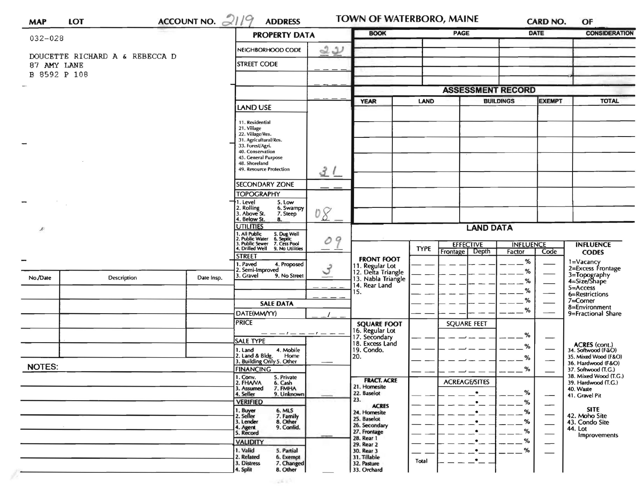| <b>MAP</b>    | <b>LOT</b>                     | ACCOUNT NO. $21/9$                                                                              | <b>ADDRESS</b>                                            |                  | TOWN OF WATERBORO, MAINE              |             |                            |                  | <b>CARD NO.</b>                                                | OF                                           |
|---------------|--------------------------------|-------------------------------------------------------------------------------------------------|-----------------------------------------------------------|------------------|---------------------------------------|-------------|----------------------------|------------------|----------------------------------------------------------------|----------------------------------------------|
| $032 - 028$   |                                | <b>PROPERTY DATA</b>                                                                            |                                                           |                  | <b>BOOK</b>                           |             | <b>PAGE</b><br><b>DATE</b> |                  | <b>CONSIDERATION</b>                                           |                                              |
|               |                                |                                                                                                 | NEIGHBORHOOD CODE                                         | 22               |                                       |             |                            |                  |                                                                |                                              |
| 87 AMY LANE   | DOUCETTE RICHARD A & REBECCA D |                                                                                                 | <b>STREET CODE</b>                                        |                  |                                       |             |                            |                  |                                                                |                                              |
| B 8592 P 108  |                                |                                                                                                 |                                                           |                  |                                       |             |                            |                  |                                                                |                                              |
|               |                                |                                                                                                 |                                                           |                  |                                       |             | <b>ASSESSMENT RECORD</b>   |                  |                                                                |                                              |
|               |                                |                                                                                                 |                                                           |                  | <b>YEAR</b><br>LAND                   |             |                            | <b>BUILDINGS</b> | <b>TOTAL</b>                                                   |                                              |
|               |                                |                                                                                                 | <b>LAND USE</b>                                           |                  |                                       |             |                            |                  |                                                                |                                              |
|               |                                |                                                                                                 | 11. Residential<br>21. Village                            |                  |                                       |             |                            |                  |                                                                |                                              |
|               |                                |                                                                                                 | 22. Village/Res.<br>31. Agricultural/Res.                 |                  |                                       |             |                            |                  |                                                                |                                              |
|               |                                |                                                                                                 | 33. Forest/Agri.<br>40. Conservation                      |                  |                                       |             |                            |                  |                                                                |                                              |
|               |                                |                                                                                                 | 45. General Purpose<br>48. Shoreland                      |                  |                                       |             |                            |                  |                                                                |                                              |
|               |                                |                                                                                                 | 49. Resource Protection                                   | 31               |                                       |             |                            |                  |                                                                |                                              |
|               |                                |                                                                                                 | SECONDARY ZONE                                            |                  |                                       |             |                            |                  |                                                                |                                              |
|               |                                |                                                                                                 | <b>TOPOGRAPHY</b>                                         |                  |                                       |             |                            |                  |                                                                |                                              |
|               |                                | 1. Level<br>5. Low<br>2. Rolling<br>3. Above St.<br>6. Swampy                                   |                                                           |                  |                                       |             |                            |                  |                                                                |                                              |
|               |                                |                                                                                                 | 7. Steep<br>4. Below St.<br>8.                            | 08               |                                       |             |                            |                  |                                                                |                                              |
| x             |                                | <b>UTILITIES</b>                                                                                | 09                                                        | <b>LAND DATA</b> |                                       |             |                            |                  |                                                                |                                              |
|               |                                | 1, All Public<br>2. Public Water<br>3. Public Sewer<br>5. Dug Well<br>6. Septic<br>7. Cess Pool |                                                           |                  | <b>EFFECTIVE</b>                      |             | <b>INFLUENCE</b>           |                  | <b>INFLUENCE</b>                                               |                                              |
|               |                                |                                                                                                 | 4. Drilled Well 9. No Utilities<br><b>STREET</b>          |                  | <b>FRONT FOOT</b>                     | <b>TYPE</b> | Frontage Depth             | Factor           | Code                                                           | <b>CODES</b>                                 |
|               |                                |                                                                                                 | 1. Paved<br>4. Proposed<br>2. Semi-Improved               | $\mathcal{S}$    | 11. Regular Lot<br>12. Delta Triangle |             |                            | %<br>%           |                                                                | 1=Vacancy<br>2=Excess Frontage               |
| No./Date      | <b>Description</b>             | Date Insp.                                                                                      | 3. Gravel<br>9. No Street                                 |                  | 13. Nabla Triangle                    |             |                            | %                |                                                                | 3=Topography<br>4=Size/Shape                 |
|               |                                |                                                                                                 |                                                           |                  | 14. Rear Land<br>15.                  |             |                            | %                |                                                                | 5=Access<br>6=Restrictions                   |
|               |                                |                                                                                                 | <b>SALE DATA</b>                                          |                  |                                       |             |                            | %                |                                                                | 7=Corner<br>8=Environment                    |
|               |                                |                                                                                                 | DATE(MM/YY)                                               |                  |                                       |             |                            | %                |                                                                | 9=Fractional Share                           |
|               |                                |                                                                                                 | <b>PRICE</b>                                              |                  | <b>SQUARE FOOT</b><br>16. Regular Lot |             | <b>SQUARE FEET</b>         |                  |                                                                |                                              |
|               |                                |                                                                                                 | — — — ! — — — ! — — —<br><b>SALE TYPE</b>                 |                  | 17. Secondary<br>18. Excess Land      |             |                            | %                |                                                                |                                              |
|               |                                |                                                                                                 | 1. Land<br>4. Mobile                                      |                  | 19. Condo.                            |             |                            | %                | $\overbrace{\phantom{13333}}$                                  | ACRES (cont.)<br>34. Softwood (F&O)          |
| <b>NOTES:</b> |                                |                                                                                                 | 2. Land & Bldg. Home<br>3. Building Only 5. Other<br>Home |                  | 20.                                   |             |                            | %                |                                                                | 35. Mixed Wood (F&O)<br>36. Hardwood (F&O)   |
|               |                                |                                                                                                 | <b>FINANCING</b><br>1. Conv.<br>5. Private                |                  |                                       |             |                            | %                |                                                                | 37. Softwood (T.G.)<br>38. Mixed Wood (T.G.) |
|               |                                |                                                                                                 | 2. FHANA<br>6. Cash<br>3. Assumed<br>7. FMHA              |                  | <b>FRACT. ACRE</b><br>21. Homesite    |             | <b>ACREAGE/SITES</b>       |                  |                                                                | 39. Hardwood (T.G.)<br>40. Waste             |
|               |                                |                                                                                                 | 4. Seller<br>9. Unknown                                   |                  | 22. Baselot<br>23.                    |             | $\bullet$                  | %                |                                                                | 41. Gravel Pit                               |
|               |                                |                                                                                                 | <b>VERIFIED</b><br>1. Buyer<br>2. Seller<br>6. MLS        |                  | <b>ACRES</b><br>24. Homesite          |             | $\bullet$<br>٠             | %<br>%           | $\overline{\phantom{0}}$                                       | <b>SITE</b>                                  |
|               |                                |                                                                                                 | 7. Family<br>8. Other<br>3. Lender                        |                  | 25. Baselot                           |             | ٠                          | %                | $\overbrace{\phantom{aaaaa}}$<br>$\overbrace{\phantom{aaaaa}}$ | 42. Moho Site<br>43. Condo Site              |
|               |                                |                                                                                                 | 4. Agent<br>9. Confid.<br>5. Record                       |                  | 26. Secondary<br>27. Frontage         |             | ٠                          | %                |                                                                | 44. Lot<br>Improvements                      |
|               |                                |                                                                                                 | <b>VALIDITY</b>                                           |                  | 28. Rear 1<br>29. Rear 2              |             | $\bullet$                  | %                | —                                                              |                                              |
|               |                                |                                                                                                 | 1. Valid<br>5. Partial<br>2. Related<br>6. Exempt         |                  | 30. Rear 3<br>31. Tillable            |             | $\bullet$                  | %                |                                                                |                                              |
|               |                                |                                                                                                 | 3. Distress<br>7. Changed<br>4. Split<br>8. Other         |                  | 32. Pasture<br>33. Orchard            | Total       | $\bullet$ .                |                  |                                                                |                                              |

 $\sim 10^{11}$